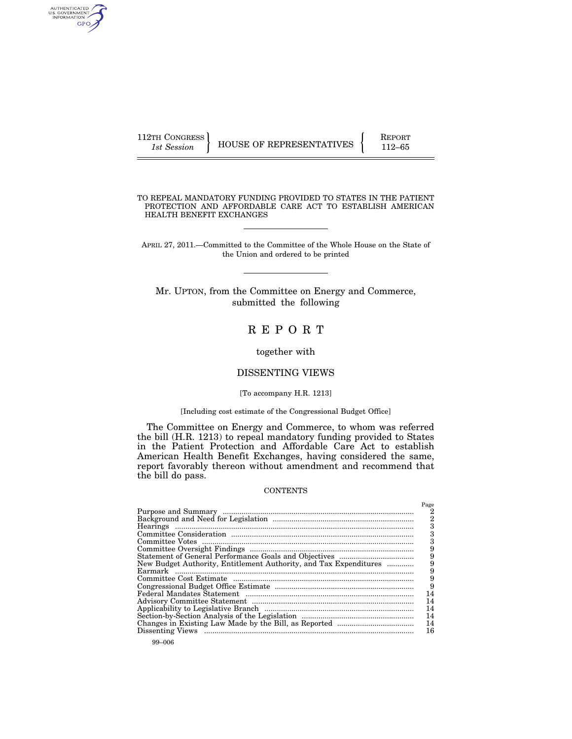| 112TH CONGRESS |                          | <b>REPORT</b> |
|----------------|--------------------------|---------------|
| 1st Session    | HOUSE OF REPRESENTATIVES | $112 - 65$    |

TO REPEAL MANDATORY FUNDING PROVIDED TO STATES IN THE PATIENT PROTECTION AND AFFORDABLE CARE ACT TO ESTABLISH AMERICAN HEALTH BENEFIT EXCHANGES

APRIL 27, 2011.—Committed to the Committee of the Whole House on the State of the Union and ordered to be printed

Mr. UPTON, from the Committee on Energy and Commerce, submitted the following

# R E P O R T

# together with

# DISSENTING VIEWS

#### [To accompany H.R. 1213]

# [Including cost estimate of the Congressional Budget Office]

The Committee on Energy and Commerce, to whom was referred the bill (H.R. 1213) to repeal mandatory funding provided to States in the Patient Protection and Affordable Care Act to establish American Health Benefit Exchanges, having considered the same, report favorably thereon without amendment and recommend that the bill do pass.

#### **CONTENTS**

|                                                                   | Page |
|-------------------------------------------------------------------|------|
|                                                                   | 2    |
|                                                                   | 2    |
|                                                                   |      |
|                                                                   |      |
|                                                                   | З    |
|                                                                   |      |
|                                                                   | 9    |
| New Budget Authority, Entitlement Authority, and Tax Expenditures | 9    |
|                                                                   | 9    |
|                                                                   | 9    |
|                                                                   | 9    |
|                                                                   | 14   |
|                                                                   | 14   |
|                                                                   | 14   |
|                                                                   | 14   |
|                                                                   | 14   |
|                                                                   | 16   |
|                                                                   |      |

AUTHENTICATED<br>U.S. GOVERNMENT<br>INFORMATION GPO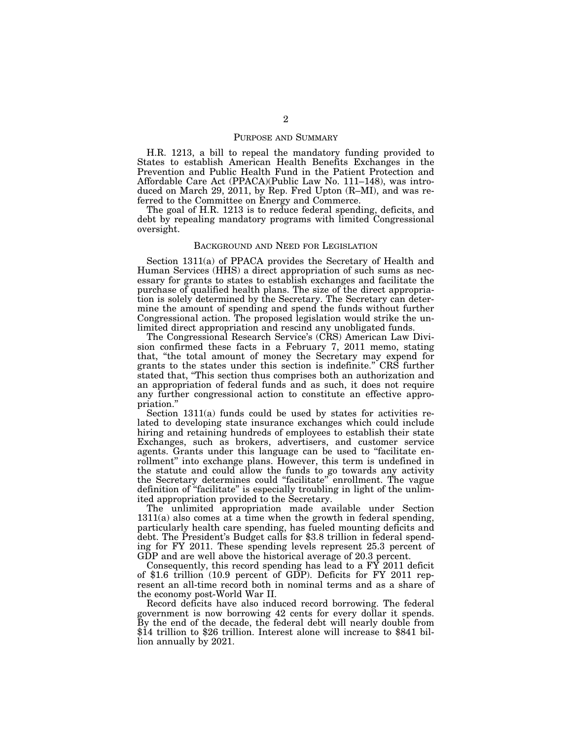## PURPOSE AND SUMMARY

H.R. 1213, a bill to repeal the mandatory funding provided to States to establish American Health Benefits Exchanges in the Prevention and Public Health Fund in the Patient Protection and Affordable Care Act (PPACA)(Public Law No. 111–148), was introduced on March 29, 2011, by Rep. Fred Upton (R–MI), and was referred to the Committee on Energy and Commerce.

The goal of H.R. 1213 is to reduce federal spending, deficits, and debt by repealing mandatory programs with limited Congressional oversight.

#### BACKGROUND AND NEED FOR LEGISLATION

Section 1311(a) of PPACA provides the Secretary of Health and Human Services (HHS) a direct appropriation of such sums as necessary for grants to states to establish exchanges and facilitate the purchase of qualified health plans. The size of the direct appropriation is solely determined by the Secretary. The Secretary can determine the amount of spending and spend the funds without further Congressional action. The proposed legislation would strike the unlimited direct appropriation and rescind any unobligated funds.

The Congressional Research Service's (CRS) American Law Division confirmed these facts in a February 7, 2011 memo, stating that, ''the total amount of money the Secretary may expend for grants to the states under this section is indefinite.'' CRS further stated that, ''This section thus comprises both an authorization and an appropriation of federal funds and as such, it does not require any further congressional action to constitute an effective appropriation.''

Section 1311(a) funds could be used by states for activities related to developing state insurance exchanges which could include hiring and retaining hundreds of employees to establish their state Exchanges, such as brokers, advertisers, and customer service agents. Grants under this language can be used to ''facilitate enrollment" into exchange plans. However, this term is undefined in the statute and could allow the funds to go towards any activity the Secretary determines could ''facilitate'' enrollment. The vague definition of ''facilitate'' is especially troubling in light of the unlimited appropriation provided to the Secretary.

The unlimited appropriation made available under Section 1311(a) also comes at a time when the growth in federal spending, particularly health care spending, has fueled mounting deficits and debt. The President's Budget calls for \$3.8 trillion in federal spending for FY 2011. These spending levels represent 25.3 percent of GDP and are well above the historical average of 20.3 percent.

Consequently, this record spending has lead to a  $\overrightarrow{FY}$  2011 deficit of \$1.6 trillion (10.9 percent of GDP). Deficits for FY 2011 represent an all-time record both in nominal terms and as a share of the economy post-World War II.

Record deficits have also induced record borrowing. The federal government is now borrowing 42 cents for every dollar it spends. By the end of the decade, the federal debt will nearly double from \$14 trillion to \$26 trillion. Interest alone will increase to \$841 billion annually by 2021.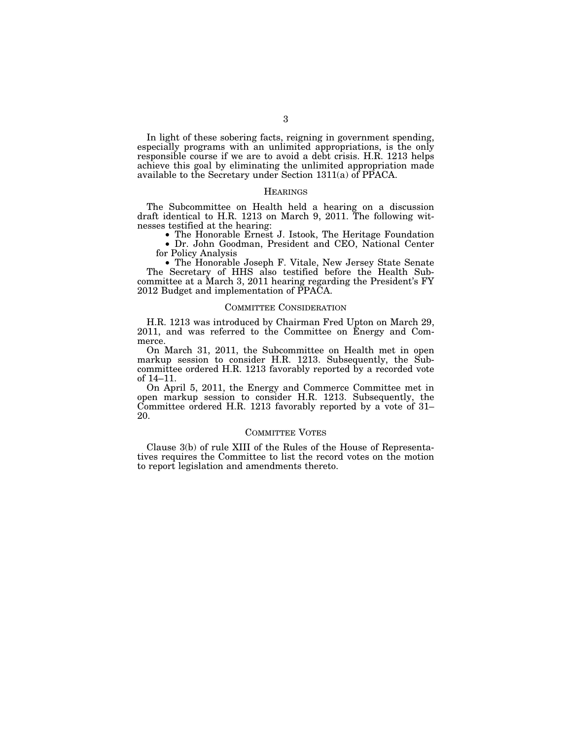In light of these sobering facts, reigning in government spending, especially programs with an unlimited appropriations, is the only responsible course if we are to avoid a debt crisis. H.R. 1213 helps achieve this goal by eliminating the unlimited appropriation made available to the Secretary under Section 1311(a) of PPACA.

#### **HEARINGS**

The Subcommittee on Health held a hearing on a discussion draft identical to H.R. 1213 on March 9, 2011. The following witnesses testified at the hearing:

• The Honorable Ernest J. Istook, The Heritage Foundation

• Dr. John Goodman, President and CEO, National Center for Policy Analysis

• The Honorable Joseph F. Vitale, New Jersey State Senate The Secretary of HHS also testified before the Health Subcommittee at a March 3, 2011 hearing regarding the President's FY 2012 Budget and implementation of PPACA.

#### COMMITTEE CONSIDERATION

H.R. 1213 was introduced by Chairman Fred Upton on March 29, 2011, and was referred to the Committee on Energy and Commerce.

On March 31, 2011, the Subcommittee on Health met in open markup session to consider H.R. 1213. Subsequently, the Subcommittee ordered H.R. 1213 favorably reported by a recorded vote of 14–11.

On April 5, 2011, the Energy and Commerce Committee met in open markup session to consider H.R. 1213. Subsequently, the Committee ordered H.R. 1213 favorably reported by a vote of  $31-$ 20.

### COMMITTEE VOTES

Clause 3(b) of rule XIII of the Rules of the House of Representatives requires the Committee to list the record votes on the motion to report legislation and amendments thereto.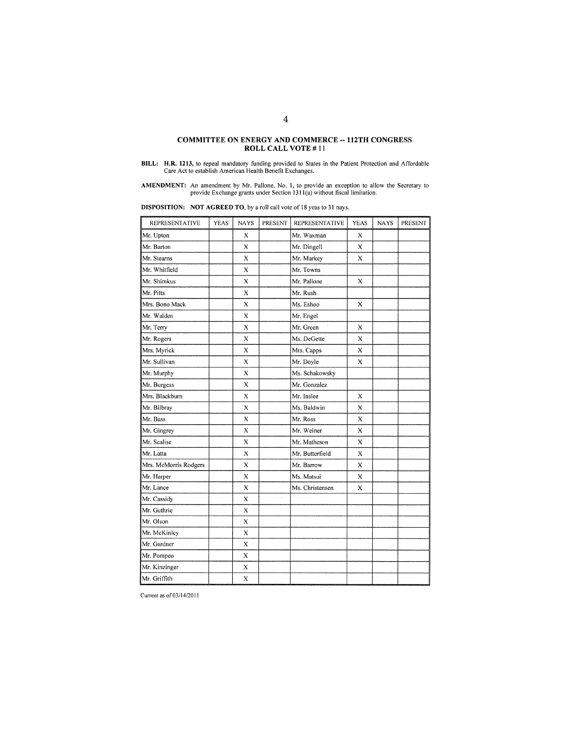# COMMITTEE ON ENERGY AND COMMERCE -- 112TH CONGRESS<br>ROLL CALL VOTE  $\#$  11

**AMENDMENT:** An amendment by Mr. Pallone, No. 1, to provide an exception to allow the Secretary to provide Exchange grants under Section  $1311(a)$  without fiscal limitation.

**DISPOSITION:** NOT AGREED TO, by a roll call vote of 18 yeas to 31 nays.

| <b>REPRESENTATIVE</b> | <b>YEAS</b> | <b>NAYS</b>  | PRESENT        | <b>REPRESENTATIVE</b> | <b>YEAS</b>  | <b>NAYS</b> | PRESENT |
|-----------------------|-------------|--------------|----------------|-----------------------|--------------|-------------|---------|
| Mr. Upton             |             | X            |                | Mr. Waxman            | X            |             |         |
| Mr. Barton            |             | X            |                | Mr. Dingell           | X            |             |         |
| Mr. Stearns           |             | X            |                | Mr. Markey            | X            |             |         |
| Mr. Whitfield         |             | X            |                | Mr. Towns             |              |             |         |
| Mr. Shimkus           |             | X            |                | Mr. Pallone           | X            |             |         |
| Mr. Pitts             |             | X            |                | Mr. Rush              |              |             |         |
| Mrs. Bono Mack        |             | X            |                | Ms. Eshoo             | X            |             |         |
| Mr. Walden            |             | X            |                | Mr. Engel             |              |             |         |
| Mr. Terry             |             | X            |                | Mr. Green             | $\mathbf x$  |             |         |
| Mr. Rogers            |             | X            |                | Ms. DeGette           | X            |             |         |
| Mrs. Myrick           |             | X            |                | Mrs. Capps            | X            |             |         |
| Mr. Sullivan          |             | X            |                | Mr. Doyle             | $\mathbf{x}$ |             |         |
| Mr. Murphy            |             | X            |                | Ms. Schakowsky        |              |             |         |
| Mr. Burgess           |             | X            |                | Mr. Gonzalez          |              |             |         |
| Mrs. Blackburn        |             | $\mathbf{x}$ |                | Mr. Inslee            | X            |             |         |
| Mr. Bilbray           |             | X            |                | Ms. Baldwin           | X            |             |         |
| Mr. Bass              |             | X            |                | Mr. Ross              | X            |             |         |
| Mr. Gingrey           |             | X            |                | Mr. Weiner            | X            |             |         |
| Mr. Scalise           |             | X            |                | Mr. Matheson          | х            |             |         |
| Mr. Latta             |             | X            |                | Mr. Butterfield       | X            |             |         |
| Mrs. McMorris Rodgers |             | X            |                | Mr. Barrow            | X            |             |         |
| Mr. Harper            |             | X            |                | Ms. Matsui            | X            |             |         |
| Mr. Lance             |             | X            | $\epsilon = 0$ | Ms. Christensen       | X            |             |         |
| Mr. Cassidy           |             | $\bar{x}$    | k,<br>à.       |                       |              |             |         |
| Mr. Guthrie           |             | X            |                |                       |              |             |         |
| Mr. Olson             |             | X            |                |                       |              |             |         |
| Mr. McKinley          |             | X            |                |                       |              |             |         |
| Mr. Gardner           |             | X            |                |                       |              |             |         |
| Mr. Pompeo            |             | X            |                |                       |              |             |         |
| Mr. Kinzinger         |             | $\bf{X}$     |                |                       |              |             |         |
| Mr. Griffith          |             | X            |                |                       |              |             |         |

Current as of 03/14/2011

BILL: H.R. 1213, to repeal mandatory funding provided to States in the Patient Protection and Affordable Care Act to establish American Health Benefit Exchanges.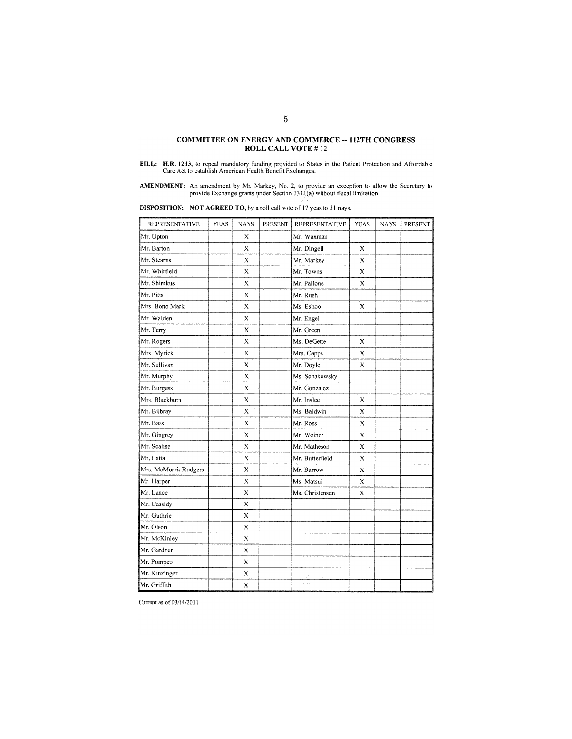# COMMITTEE ON ENERGY AND COMMERCE -- 112TH CONGRESS<br>ROLL CALL VOTE  $\#$  12

BILL: H.R. 1213, to repeal mandatory funding provided to States in the Patient Protection and Affordable Care Act to establish American Health Benefit Exchanges.

**AMENDMENT:** An amendment by Mr. Markey, No. 2, to provide an exception to allow the Secretary to provide Exchange grants under Section 1311(a) without fiscal limitation.

|  | <b>DISPOSITION:</b> NOT AGREED TO, by a roll call vote of 17 yeas to 31 nays. |  |
|--|-------------------------------------------------------------------------------|--|
|  |                                                                               |  |

| REPRESENTATIVE        | <b>YEAS</b> | <b>NAYS</b>    | PRESENT | REPRESENTATIVE             | <b>YEAS</b> | <b>NAYS</b> | PRESENT |
|-----------------------|-------------|----------------|---------|----------------------------|-------------|-------------|---------|
| Mr. Upton             |             | X              |         | Mr. Waxman                 |             |             |         |
| Mr. Barton            |             | X              |         | Mr. Dingell                | X           |             |         |
| Mr. Stearns           |             | X              |         | Mr. Markey                 | X           |             |         |
| Mr. Whitfield         |             | X              |         | Mr. Towns                  | Х           |             |         |
| Mr. Shimkus           |             | X              |         | Mr. Pallone                | $\mathbf x$ |             |         |
| Mr. Pitts             |             | $\bar{X}$      |         | Mr. Rush                   |             |             |         |
| Mrs. Bono Mack        |             | X              |         | Ms. Eshoo                  | х           |             |         |
| Mr. Walden            |             | X              |         | Mr. Engel                  |             |             |         |
| Mr. Terry             |             | X              |         | Mr. Green                  |             |             |         |
| Mr. Rogers            |             | X              |         | Ms. DeGette                | X           |             |         |
| Mrs. Myrick           |             | $\overline{X}$ |         | Mrs. Capps                 | X           |             |         |
| Mr. Sullivan          |             | X              |         | Mr. Doyle                  | X           |             |         |
| Mr. Murphy            |             | X              |         | Ms. Schakowsky             |             |             |         |
| Mr. Burgess           |             | X              |         | Mr. Gonzalez               |             |             |         |
| Mrs. Blackburn        |             | X              |         | Mr. Inslee                 | Х           |             |         |
| Mr. Bilbray           |             | $\mathbf x$    |         | Ms. Baldwin                | X           |             |         |
| Mr. Bass              |             | X              |         | Mr. Ross                   | X           |             |         |
| Mr. Gingrey           |             | X              |         | Mr. Weiner                 | X           |             |         |
| Mr. Scalise           |             | $\mathbf X$    |         | Mr. Matheson               | X           |             |         |
| Mr. Latta             |             | X              |         | Mr. Butterfield            | X           |             |         |
| Mrs. McMorris Rodgers |             | X              |         | Mr. Barrow                 | X           |             |         |
| Mr. Harper            |             | $\bf{X}$       |         | Ms. Matsui                 | X           |             |         |
| Mr. Lance             |             | $\bf{X}$       |         | Ms. Christensen            | X           |             |         |
| Mr. Cassidy           |             | X              |         |                            |             |             |         |
| Mr. Guthrie           |             | X              |         |                            |             |             |         |
| Mr. Olson             |             | X              |         |                            |             |             |         |
| Mr. McKinley          |             | X              |         |                            |             |             |         |
| Mr. Gardner           |             | х              |         |                            |             |             |         |
| Mr. Pompeo            |             | X              |         |                            |             |             |         |
| Mr. Kinzinger         |             | X              |         |                            |             |             |         |
| Mr. Griffith          |             | X              |         | $\varphi=\varphi_{\alpha}$ |             |             |         |

Current as of 03/14/2011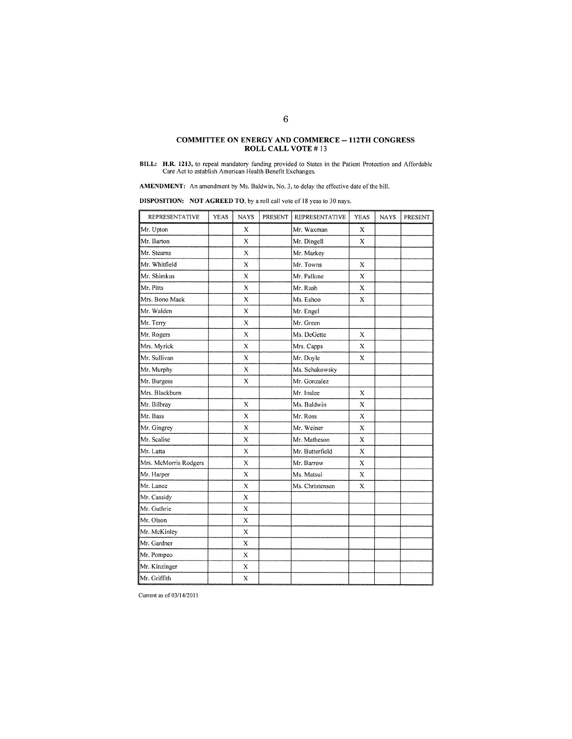# **COMMITTEE ON ENERGY AND COMMERCE -- 112TH CONGRESS** ROLL CALL VOTE #13

AMENDMENT: An amendment by Ms. Baldwin, No. 3, to delay the effective date of the bill.

**DISPOSITION:** NOT AGREED TO, by a roll call vote of 18 yeas to 30 nays.

| <b>REPRESENTATIVE</b> | <b>YEAS</b> | <b>NAYS</b> | <b>PRESENT</b> | <b>REPRESENTATIVE</b> | <b>YEAS</b> | <b>NAYS</b> | PRESENT |
|-----------------------|-------------|-------------|----------------|-----------------------|-------------|-------------|---------|
| Mr. Upton             |             | X           |                | Mr. Waxman            | X           |             |         |
| Mr. Barton            |             | X           |                | Mr. Dingell           | X           |             |         |
| Mr. Stearns           |             | Х           |                | Mr. Markey            |             |             |         |
| Mr. Whitfield         |             | X           |                | Mr. Towns             | х           |             |         |
| Mr. Shimkus           |             | X           |                | Mr. Pallone           | X           |             |         |
| Mr. Pitts             |             | X           |                | Mr. Rush              | X           |             |         |
| Mrs. Bono Mack        |             | X           |                | Ms. Eshoo             | X           |             |         |
| Mr. Walden            |             | X           |                | Mr. Engel             |             |             |         |
| Mr. Terry             |             | X           |                | Mr. Green             |             |             |         |
| Mr. Rogers            |             | X           |                | Ms. DeGette           | х           |             |         |
| Mrs. Myrick           |             | х           |                | Mrs. Capps            | x           |             |         |
| Mr. Sullivan          |             | X           |                | Mr. Doyle             | X           |             |         |
| Mr. Murphy            |             | X           |                | Ms. Schakowsky        |             |             |         |
| Mr. Burgess           |             | X           |                | Mr. Gonzalez          |             |             |         |
| Mrs. Blackburn        |             |             |                | Mr. Inslee            | X           |             |         |
| Mr. Bilbray           |             | X           |                | Ms. Baldwin           | х           |             |         |
| Mr. Bass              |             | x           |                | Mr. Ross              | X           |             |         |
| Mr. Gingrey           |             | X           |                | Mr. Weiner            | X           |             |         |
| Mr. Scalise           |             | X           |                | Mr. Matheson          | X           |             |         |
| Mr. Latta             |             | X           | and is         | Mr. Butterfield       | X           |             |         |
| Mrs. McMorris Rodgers |             | X           |                | Mr. Barrow            | X           |             |         |
| Mr. Harper            |             | X           |                | Ms. Matsui            | X           |             |         |
| Mr. Lance             |             | X           |                | Ms. Christensen       | $\bf{X}$    |             |         |
| Mr. Cassidy           |             | X           |                |                       |             |             |         |
| Mr. Guthrie           |             | $\bar{X}$   |                |                       |             |             |         |
| Mr. Olson             |             | X           |                |                       |             |             |         |
| Mr. McKinley          |             | X           |                |                       |             |             |         |
| Mr. Gardner           |             | X           |                |                       |             |             |         |
| Mr. Pompeo            |             | Х           |                |                       |             |             |         |
| Mr. Kinzinger         |             | X           |                |                       |             |             |         |
| Mr. Griffith          |             | X           |                |                       |             |             |         |

Current as of 03/14/2011

BILL: H.R. 1213, to repeal mandatory funding provided to States in the Patient Protection and Affordable<br>Care Act to establish American Health Benefit Exchanges.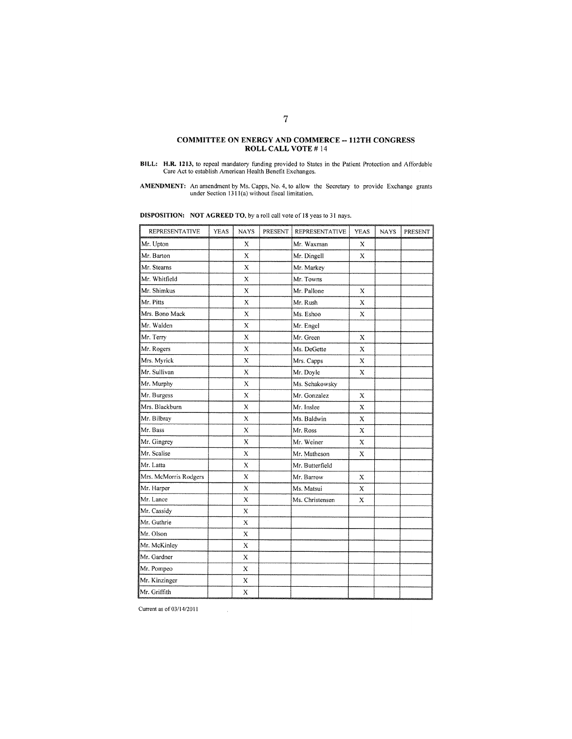# **COMMITTEE ON ENERGY AND COMMERCE -- 112TH CONGRESS** ROLL CALL VOTE #14

**AMENDMENT:** An amendment by Ms. Capps, No. 4, to allow the Secretary to provide Exchange grants under Section 1311(a) without fiscal limitation.

| REPRESENTATIVE        | YEAS | <b>NAYS</b>  | PRESENT | REPRESENTATIVE  | <b>YEAS</b> | <b>NAYS</b> | PRESENT |
|-----------------------|------|--------------|---------|-----------------|-------------|-------------|---------|
| Mr. Upton             |      | X            |         | Mr. Waxman      | X           |             |         |
| Mr. Barton            |      | X            |         | Mr. Dingell     | X           |             |         |
| Mr. Stearns           |      | $\bf{X}$     |         | Mr. Markey      |             |             |         |
| Mr. Whitfield         |      | X            |         | Mr. Towns       |             |             |         |
| Mr. Shimkus           |      | X            |         | Mr. Pallone     | Х           |             |         |
| Mr. Pitts             |      | X            |         | Mr. Rush        | $\mathbf x$ |             |         |
| Mrs. Bono Mack        |      | X            |         | Ms. Eshoo       | X           |             |         |
| Mr. Walden            |      | $\mathbf x$  |         | Mr. Engel       |             |             |         |
| Mr. Terry             |      | $\bf{X}$     |         | Mr. Green       | X           |             |         |
| Mr. Rogers            |      | X            |         | Ms. DeGette     | X           |             |         |
| Mrs. Myrick           |      | $\mathbf X$  |         | Mrs. Capps      | X           |             |         |
| Mr. Sullivan          |      | X            |         | Mr. Doyle       | X           |             |         |
| Mr. Murphy            |      | X            |         | Ms. Schakowsky  |             |             |         |
| Mr. Burgess           |      | X            |         | Mr. Gonzalez    | X           |             |         |
| Mrs. Blackburn        |      | X            |         | Mr. Inslee      | X           |             |         |
| Mr. Bilbray           |      | X            |         | Ms. Baldwin     | X           |             |         |
| Mr. Bass              |      | X            |         | Mr. Ross        | X           |             |         |
| Mr. Gingrey           |      | X            |         | Mr. Weiner      | X           |             |         |
| Mr. Scalise           |      | X            |         | Mr. Matheson    | X           |             |         |
| Mr. Latta             |      | X            |         | Mr. Butterfield |             |             |         |
| Mrs. McMorris Rodgers |      | X            |         | Mr. Barrow      | X           |             |         |
| Mr. Harper            |      | X            |         | Ms. Matsui      | X           |             |         |
| Mr. Lance             |      | $\mathbf{x}$ |         | Ms. Christensen | $\mathbf x$ |             |         |
| Mr. Cassidy           |      | X            |         |                 |             |             |         |
| Mr. Guthrie           |      | X            | ÷,      |                 |             |             |         |
| Mr. Olson             |      | X            |         |                 |             |             |         |
| Mr. McKinley          |      | X            |         |                 |             |             |         |
| Mr. Gardner           |      | X            |         |                 |             |             |         |
| Mr. Pompeo            |      | X            |         |                 |             |             |         |
| Mr. Kinzinger         |      | X            |         |                 |             |             |         |
| Mr. Griffith          |      | $\bf{X}$     |         |                 |             |             |         |

**DISPOSITION:** NOT AGREED TO, by a roll call vote of 18 yeas to 31 nays.

Current as of 03/14/2011

 $\bar{\gamma}$ 

BILL: H.R. 1213, to repeal mandatory funding provided to States in the Patient Protection and Affordable Care Act to establish American Health Benefit Exchanges.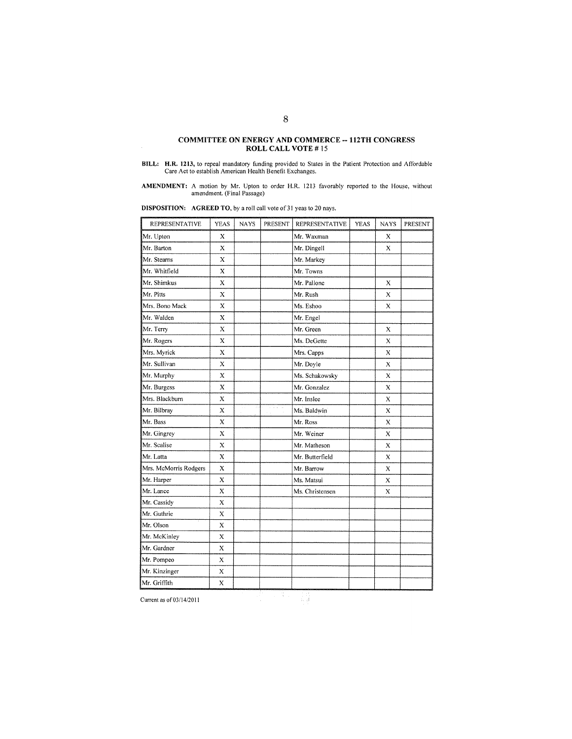# **COMMITTEE ON ENERGY AND COMMERCE -- 112TH CONGRESS** ROLL CALL VOTE #15

BILL: H.R. 1213, to repeal mandatory funding provided to States in the Patient Protection and Affordable Care Act to establish American Health Benefit Exchanges.

**AMENDMENT:** A motion by Mr. Upton to order H.R. 1213 favorably reported to the House, without amendment. (Final Passage)

**DISPOSITION:** AGREED TO, by a roll call vote of 31 yeas to 20 nays.

| REPRESENTATIVE        | <b>YEAS</b>               | <b>NAYS</b> | PRESENT  | REPRESENTATIVE  | <b>YEAS</b> | <b>NAYS</b>  | PRESENT |
|-----------------------|---------------------------|-------------|----------|-----------------|-------------|--------------|---------|
| Mr. Upton             | X                         |             |          | Mr. Waxman      |             | X            |         |
| Mr. Barton            | X                         |             |          | Mr. Dingell     |             | X            |         |
| Mr. Stearns           | $\bf{X}$                  |             |          | Mr. Markey      |             |              |         |
| Mr. Whitfield         | X                         |             |          | Mr. Towns       |             |              |         |
| Mr. Shimkus           | X                         |             |          | Mr. Pallone     |             | X            |         |
| Mr. Pitts             | X                         |             |          | Mr. Rush        |             | X            |         |
| Mrs. Bono Mack        | X                         |             |          | Ms. Eshoo       |             | X            |         |
| Mr. Walden            | X                         |             |          | Mr. Engel       |             |              |         |
| Mr. Terry             | $\mathbf x$               |             |          | Mr. Green       |             | X            |         |
| Mr. Rogers            | X                         |             |          | Ms. DeGette     |             | X            |         |
| Mrs. Myrick           | $\mathbf x$               |             |          | Mrs. Capps      |             | $\bf{X}$     |         |
| Mr. Sullivan          | X                         |             |          | Mr. Doyle       |             | X            |         |
| Mr. Murphy            | X                         |             |          | Ms. Schakowsky  |             | X            |         |
| Mr. Burgess           | X                         |             |          | Mr. Gonzalez    |             | X            |         |
| Mrs. Blackburn        | $\mathbf{x}$              |             |          | Mr. Inslee      |             | X            |         |
| Mr. Bilbray           | X                         | V.          | $-11112$ | Ms. Baldwin     |             | X            |         |
| Mr. Bass              | X                         |             |          | Mr. Ross        |             | X            |         |
| Mr. Gingrey           | $\mathbf{x}$              |             |          | Mr. Weiner      |             | X            |         |
| Mr. Scalise           | X                         |             |          | Mr. Matheson    |             | X            |         |
| Mr. Latta             | X                         |             |          | Mr. Butterfield |             | X            |         |
| Mrs. McMorris Rodgers | X                         |             |          | Mr. Barrow      |             | $\mathbf{x}$ |         |
| Mr. Harper            | X                         |             |          | Ms. Matsui      |             | X            |         |
| Mr. Lance             | X                         |             |          | Ms. Christensen |             | X            |         |
| Mr. Cassidy           | $\boldsymbol{\mathsf{X}}$ |             |          |                 |             |              |         |
| Mr. Guthrie           | Х                         |             |          |                 |             |              |         |
| Mr. Olson             | X                         |             |          |                 |             |              |         |
| Mr. McKinley          | X                         |             |          |                 |             |              |         |
| Mr. Gardner           | X                         |             |          |                 |             |              |         |
| Mr. Pompeo            | X                         |             |          |                 |             |              |         |
| Mr. Kinzinger         | X                         |             |          |                 |             |              |         |
| Mr. Griffith          | X                         |             |          |                 |             |              |         |

Current as of 03/14/2011

Ŧ,  $\mathbb{C}[\mathfrak{z}]$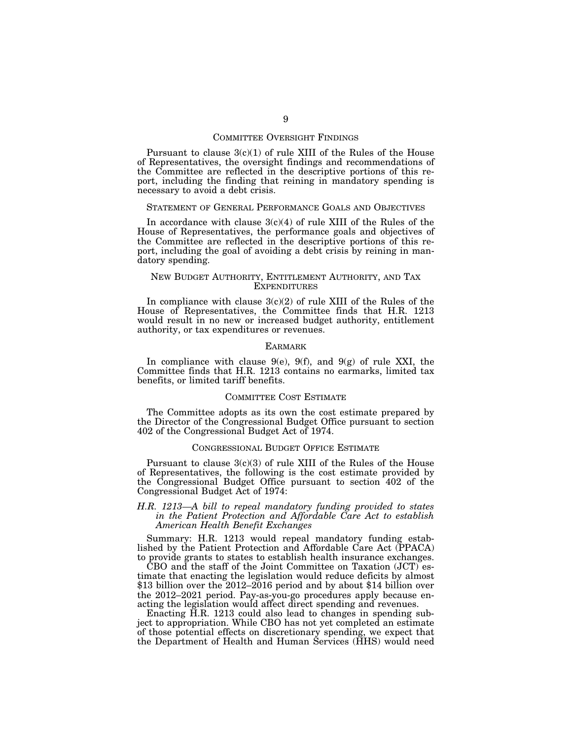#### COMMITTEE OVERSIGHT FINDINGS

Pursuant to clause  $3(c)(1)$  of rule XIII of the Rules of the House of Representatives, the oversight findings and recommendations of the Committee are reflected in the descriptive portions of this report, including the finding that reining in mandatory spending is necessary to avoid a debt crisis.

#### STATEMENT OF GENERAL PERFORMANCE GOALS AND OBJECTIVES

In accordance with clause  $3(c)(4)$  of rule XIII of the Rules of the House of Representatives, the performance goals and objectives of the Committee are reflected in the descriptive portions of this report, including the goal of avoiding a debt crisis by reining in mandatory spending.

## NEW BUDGET AUTHORITY, ENTITLEMENT AUTHORITY, AND TAX **EXPENDITURES**

In compliance with clause  $3(c)(2)$  of rule XIII of the Rules of the House of Representatives, the Committee finds that H.R. 1213 would result in no new or increased budget authority, entitlement authority, or tax expenditures or revenues.

#### EARMARK

In compliance with clause  $9(e)$ ,  $9(f)$ , and  $9(g)$  of rule XXI, the Committee finds that H.R. 1213 contains no earmarks, limited tax benefits, or limited tariff benefits.

#### COMMITTEE COST ESTIMATE

The Committee adopts as its own the cost estimate prepared by the Director of the Congressional Budget Office pursuant to section 402 of the Congressional Budget Act of 1974.

## CONGRESSIONAL BUDGET OFFICE ESTIMATE

Pursuant to clause  $3(c)(3)$  of rule XIII of the Rules of the House of Representatives, the following is the cost estimate provided by the Congressional Budget Office pursuant to section 402 of the Congressional Budget Act of 1974:

# *H.R. 1213—A bill to repeal mandatory funding provided to states in the Patient Protection and Affordable Care Act to establish American Health Benefit Exchanges*

Summary: H.R. 1213 would repeal mandatory funding established by the Patient Protection and Affordable Care Act (PPACA) to provide grants to states to establish health insurance exchanges.

CBO and the staff of the Joint Committee on Taxation (JCT) estimate that enacting the legislation would reduce deficits by almost \$13 billion over the  $2012-2016$  period and by about \$14 billion over the 2012–2021 period. Pay-as-you-go procedures apply because enacting the legislation would affect direct spending and revenues.

Enacting H.R. 1213 could also lead to changes in spending subject to appropriation. While CBO has not yet completed an estimate of those potential effects on discretionary spending, we expect that the Department of Health and Human Services (HHS) would need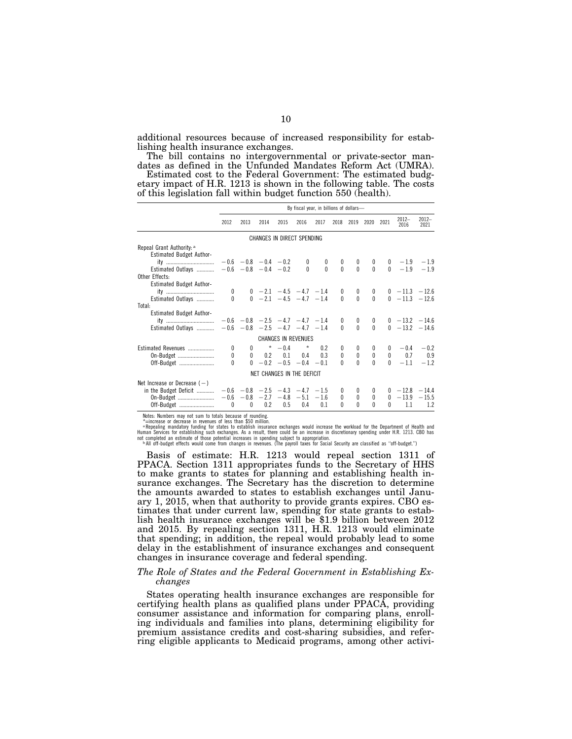additional resources because of increased responsibility for establishing health insurance exchanges.

The bill contains no intergovernmental or private-sector mandates as defined in the Unfunded Mandates Reform Act (UMRA).

Estimated cost to the Federal Government: The estimated budgetary impact of H.R. 1213 is shown in the following table. The costs of this legislation fall within budget function 550 (health).

|                                                       |              |                             |                   |           | By fiscal year, in billions of dollars-   |             |                  |                  |              |              |                   |                 |
|-------------------------------------------------------|--------------|-----------------------------|-------------------|-----------|-------------------------------------------|-------------|------------------|------------------|--------------|--------------|-------------------|-----------------|
|                                                       | 2012         | 2013                        | 2014              | 2015      | 2016                                      | 2017        | 2018             | 2019             | 2020         | 2021         | $2012 -$<br>2016  | $2012-$<br>2021 |
|                                                       |              |                             |                   |           | CHANGES IN DIRECT SPENDING                |             |                  |                  |              |              |                   |                 |
| Repeal Grant Authority: a<br>Estimated Budget Author- |              |                             |                   |           |                                           |             |                  |                  |              |              |                   |                 |
| ity                                                   |              | $-0.6$ $-0.8$ $-0.4$ $-0.2$ |                   |           | 0                                         | $\mathbf 0$ | $\boldsymbol{0}$ | $\boldsymbol{0}$ | $\bf{0}$     |              | $0 - 1.9$         |                 |
| Estimated Outlays<br>Other Effects:                   |              | $-0.6 -0.8 -0.4 -0.2$       |                   |           | $\Omega$                                  | $\Omega$    | $\Omega$         | $\mathbf{0}$     | $\mathbf{0}$ |              | $0 - 1.9$         | $-1.9$          |
| <b>Estimated Budget Author-</b>                       |              |                             |                   |           |                                           |             |                  |                  |              |              |                   |                 |
| ity                                                   | $\mathbf{0}$ |                             |                   |           | $0 -2.1 -4.5 -4.7 -1.4$                   |             | $\mathbf{0}$     | $\mathbf{0}$     | 0            |              | $0 - 11.3 - 12.6$ |                 |
| Estimated Outlays<br>Total:                           | 0            |                             |                   |           | $0 -2.1 -4.5 -4.7 -1.4$                   |             | $\Omega$         | $\theta$         | $\Omega$     |              | $0 - 11.3 - 12.6$ |                 |
| <b>Estimated Budget Author-</b>                       |              |                             |                   |           |                                           |             |                  |                  |              |              |                   |                 |
| ity                                                   |              |                             |                   |           | $-0.6$ $-0.8$ $-2.5$ $-4.7$ $-4.7$ $-1.4$ |             | $\mathbf{0}$     | 0                | $\mathbf{0}$ |              | $0 - 13.2 - 14.6$ |                 |
| Estimated Outlays                                     |              |                             |                   |           | $-0.6$ $-0.8$ $-2.5$ $-4.7$ $-4.7$ $-1.4$ |             | $\Omega$         | $\Omega$         | $\Omega$     |              | $0 - 13.2 - 14.6$ |                 |
|                                                       |              |                             |                   |           | <b>CHANGES IN REVENUES</b>                |             |                  |                  |              |              |                   |                 |
| Estimated Revenues                                    | 0            | $\mathbf{0}$                |                   | $* = 0.4$ | $\star$                                   | 0.2         | $\bf{0}$         | $\bf{0}$         | $\bf{0}$     |              | $0 - 0.4$         | $-0.2$          |
| On-Budget                                             | 0            |                             | $0 \t 0.2 \t 0.1$ |           | 0.4                                       | 0.3         | $\mathbf{0}$     | $\mathbf{0}$     | $\mathbf{0}$ |              | $0\qquad 0.7$     | 0.9             |
| Off-Budget                                            | 0            | $\mathbf{0}$                |                   |           | $-0.2 -0.5 -0.4 -0.1$                     |             | 0                | 0                | $\Omega$     | $\Omega$     | $-11$             | $-12$           |
|                                                       |              |                             |                   |           | NET CHANGES IN THE DEFICIT                |             |                  |                  |              |              |                   |                 |
| Net Increase or Decrease $(-)$                        |              |                             |                   |           |                                           |             |                  |                  |              |              |                   |                 |
| in the Budget Deficit                                 |              |                             |                   |           | $-0.6$ $-0.8$ $-2.5$ $-4.3$ $-4.7$ $-1.5$ |             | 0                | 0                | 0            |              | $0 - 12.8 - 14.4$ |                 |
| On-Budget                                             |              | $-0.6 -0.8 -2.7$            |                   |           | $-4.8 - 5.1$                              | $-1.6$      | $\Omega$         | $\Omega$         | $\Omega$     |              | $0 - 13.9 - 15.5$ |                 |
| Off-Budget                                            | 0            | 0                           | 0.2               | 0.5       | 0.4                                       | 0.1         | 0                | U                | U            | $\mathbf{0}$ | 1.1               | 1.2             |

Notes: Numbers may not sum to totals because of rounding.<br>
\*=increase or decrease in revenues of less than \$50 million.<br>
\*Repealing mandatory funding for states to establish insurance exchanges would increase the workload

Basis of estimate: H.R. 1213 would repeal section 1311 of PPACA. Section 1311 appropriates funds to the Secretary of HHS to make grants to states for planning and establishing health insurance exchanges. The Secretary has the discretion to determine the amounts awarded to states to establish exchanges until January 1, 2015, when that authority to provide grants expires. CBO estimates that under current law, spending for state grants to establish health insurance exchanges will be \$1.9 billion between 2012 and 2015. By repealing section 1311, H.R. 1213 would eliminate that spending; in addition, the repeal would probably lead to some delay in the establishment of insurance exchanges and consequent changes in insurance coverage and federal spending.

# *The Role of States and the Federal Government in Establishing Exchanges*

States operating health insurance exchanges are responsible for certifying health plans as qualified plans under PPACA, providing consumer assistance and information for comparing plans, enrolling individuals and families into plans, determining eligibility for premium assistance credits and cost-sharing subsidies, and referring eligible applicants to Medicaid programs, among other activi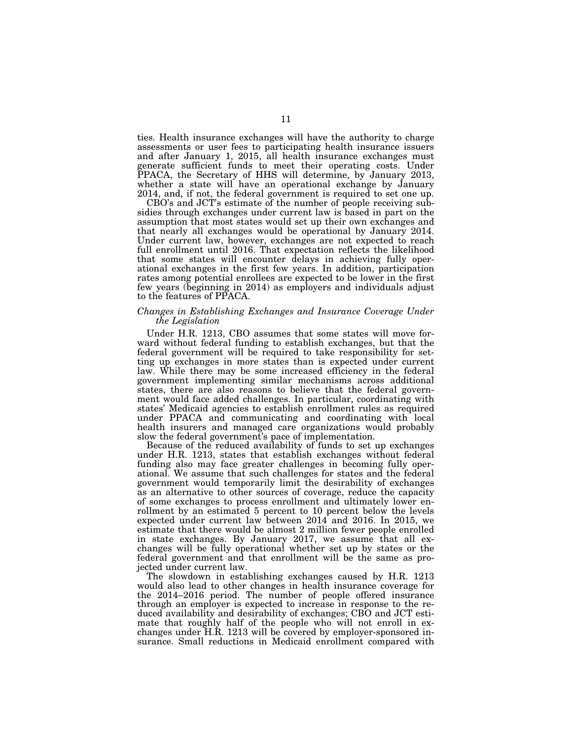ties. Health insurance exchanges will have the authority to charge assessments or user fees to participating health insurance issuers and after January 1, 2015, all health insurance exchanges must generate sufficient funds to meet their operating costs. Under PPACA, the Secretary of HHS will determine, by January 2013, whether a state will have an operational exchange by January 2014, and, if not, the federal government is required to set one up.

CBO's and JCT's estimate of the number of people receiving subsidies through exchanges under current law is based in part on the assumption that most states would set up their own exchanges and that nearly all exchanges would be operational by January 2014. Under current law, however, exchanges are not expected to reach full enrollment until 2016. That expectation reflects the likelihood that some states will encounter delays in achieving fully operational exchanges in the first few years. In addition, participation rates among potential enrollees are expected to be lower in the first few years (beginning in 2014) as employers and individuals adjust to the features of PPACA.

# *Changes in Establishing Exchanges and Insurance Coverage Under the Legislation*

Under H.R. 1213, CBO assumes that some states will move forward without federal funding to establish exchanges, but that the federal government will be required to take responsibility for setting up exchanges in more states than is expected under current law. While there may be some increased efficiency in the federal government implementing similar mechanisms across additional states, there are also reasons to believe that the federal government would face added challenges. In particular, coordinating with states' Medicaid agencies to establish enrollment rules as required under PPACA and communicating and coordinating with local health insurers and managed care organizations would probably slow the federal government's pace of implementation.

Because of the reduced availability of funds to set up exchanges under H.R. 1213, states that establish exchanges without federal funding also may face greater challenges in becoming fully operational. We assume that such challenges for states and the federal government would temporarily limit the desirability of exchanges as an alternative to other sources of coverage, reduce the capacity of some exchanges to process enrollment and ultimately lower enrollment by an estimated 5 percent to 10 percent below the levels expected under current law between 2014 and 2016. In 2015, we estimate that there would be almost 2 million fewer people enrolled in state exchanges. By January 2017, we assume that all exchanges will be fully operational whether set up by states or the federal government and that enrollment will be the same as projected under current law.

The slowdown in establishing exchanges caused by H.R. 1213 would also lead to other changes in health insurance coverage for the 2014–2016 period. The number of people offered insurance through an employer is expected to increase in response to the reduced availability and desirability of exchanges; CBO and JCT estimate that roughly half of the people who will not enroll in exchanges under H.R. 1213 will be covered by employer-sponsored insurance. Small reductions in Medicaid enrollment compared with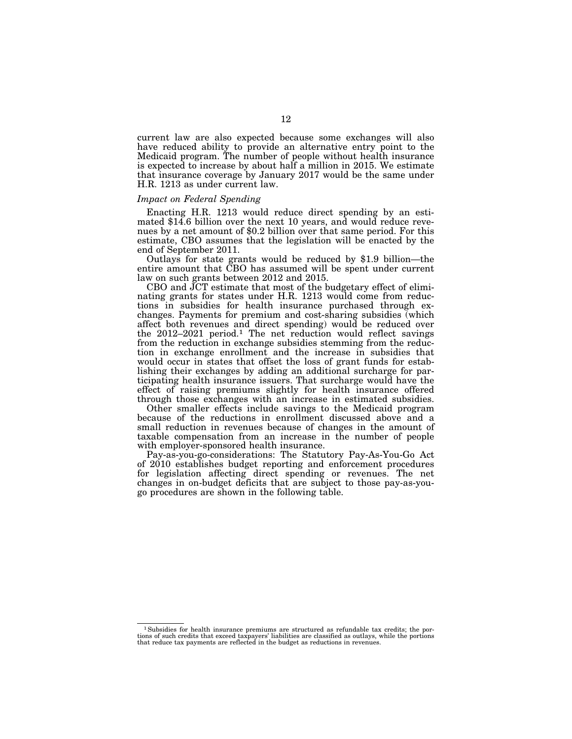current law are also expected because some exchanges will also have reduced ability to provide an alternative entry point to the Medicaid program. The number of people without health insurance is expected to increase by about half a million in 2015. We estimate that insurance coverage by January 2017 would be the same under H.R. 1213 as under current law.

## *Impact on Federal Spending*

Enacting H.R. 1213 would reduce direct spending by an esti- mated \$14.6 billion over the next 10 years, and would reduce revenues by a net amount of \$0.2 billion over that same period. For this estimate, CBO assumes that the legislation will be enacted by the

end of September 2011. Outlays for state grants would be reduced by \$1.9 billion—the entire amount that CBO has assumed will be spent under current law on such grants between 2012 and 2015.

CBO and JCT estimate that most of the budgetary effect of eliminating grants for states under H.R. 1213 would come from reductions in subsidies for health insurance purchased through exchanges. Payments for premium and cost-sharing subsidies (which affect both revenues and direct spending) would be reduced over the 2012–2021 period.<sup>1</sup> The net reduction would reflect savings from the reduction in exchange subsidies stemming from the reduction in exchange enrollment and the increase in subsidies that would occur in states that offset the loss of grant funds for establishing their exchanges by adding an additional surcharge for participating health insurance issuers. That surcharge would have the effect of raising premiums slightly for health insurance offered through those exchanges with an increase in estimated subsidies.

Other smaller effects include savings to the Medicaid program because of the reductions in enrollment discussed above and a small reduction in revenues because of changes in the amount of taxable compensation from an increase in the number of people with employer-sponsored health insurance.

Pay-as-you-go-considerations: The Statutory Pay-As-You-Go Act of 2010 establishes budget reporting and enforcement procedures for legislation affecting direct spending or revenues. The net changes in on-budget deficits that are subject to those pay-as-yougo procedures are shown in the following table.

 $^1$  Subsidies for health insurance premiums are structured as refundable tax credits; the portions of such credits that exceed taxpayers' liabilities are classified as outlays, while the portions that reduce tax payments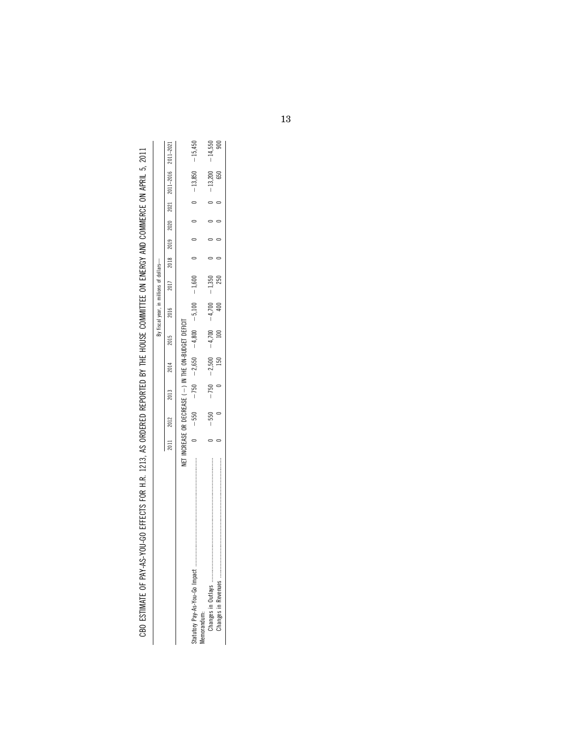| ׇ֚֓                                                                           |
|-------------------------------------------------------------------------------|
|                                                                               |
|                                                                               |
|                                                                               |
|                                                                               |
|                                                                               |
| tt och in side and lightlighted dies sidelighted lightighted less light side. |
| ׇ֚֓<br>${1\over 2}$                                                           |
|                                                                               |
|                                                                               |
| <br> <br> <br>                                                                |
| ׇ֚֬<br>l                                                                      |
|                                                                               |
|                                                                               |
| HAPIND-DOI-AF                                                                 |
| 1<br>ï                                                                        |
|                                                                               |
| Ì                                                                             |

|            |      |        |        |                  |                                                               | fiscal year, in millions of dollars- |          |  |  |                                                   |           |
|------------|------|--------|--------|------------------|---------------------------------------------------------------|--------------------------------------|----------|--|--|---------------------------------------------------|-----------|
|            | 2011 | 2012   | 2013   | 2014             | 2015                                                          | 2016                                 |          |  |  | 2011-2021 2018 2019 2020 2021 2011-2016 2011-2021 |           |
|            |      |        |        |                  | NET INCREASE OR DECREASE (-) IN THE ON-BUDGET DEFICIT         |                                      |          |  |  |                                                   |           |
|            |      |        |        |                  | 009'T 001'S - 008'T 059'G - 052 - 052 - 058'T - 058'T - 052 - |                                      |          |  |  | $-13,850$                                         | $-15.450$ |
| emorandum: |      |        |        |                  |                                                               |                                      |          |  |  |                                                   |           |
|            |      | $-550$ | $-750$ | $-2,500 - 4,700$ |                                                               | $-4,700$                             | $-1,350$ |  |  | $-13,200$                                         | $-14,550$ |
|            |      |        |        | <b>150</b>       |                                                               |                                      | 250      |  |  | 650                                               |           |
|            |      |        |        |                  |                                                               |                                      |          |  |  |                                                   |           |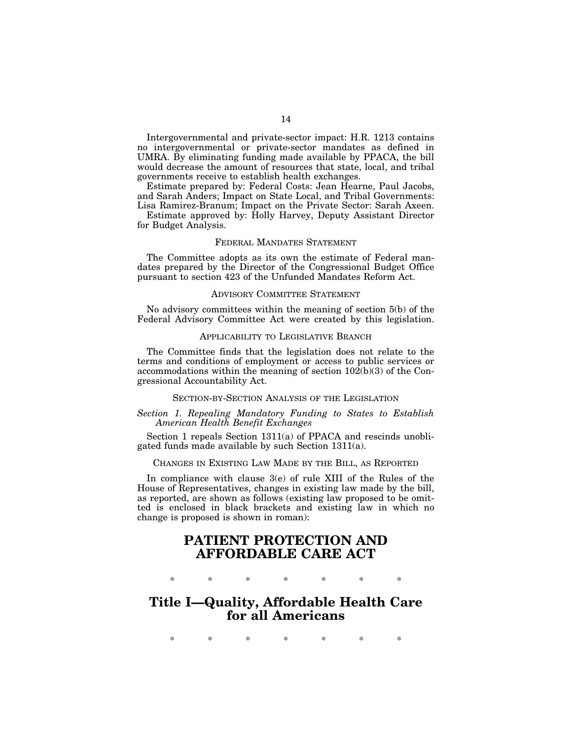Intergovernmental and private-sector impact: H.R. 1213 contains no intergovernmental or private-sector mandates as defined in UMRA. By eliminating funding made available by PPACA, the bill would decrease the amount of resources that state, local, and tribal governments receive to establish health exchanges.

Estimate prepared by: Federal Costs: Jean Hearne, Paul Jacobs, and Sarah Anders; Impact on State Local, and Tribal Governments: Lisa Ramirez-Branum; Impact on the Private Sector: Sarah Axeen.

Estimate approved by: Holly Harvey, Deputy Assistant Director for Budget Analysis.

# FEDERAL MANDATES STATEMENT

The Committee adopts as its own the estimate of Federal mandates prepared by the Director of the Congressional Budget Office pursuant to section 423 of the Unfunded Mandates Reform Act.

#### ADVISORY COMMITTEE STATEMENT

No advisory committees within the meaning of section 5(b) of the Federal Advisory Committee Act were created by this legislation.

#### APPLICABILITY TO LEGISLATIVE BRANCH

The Committee finds that the legislation does not relate to the terms and conditions of employment or access to public services or accommodations within the meaning of section  $102(b)(3)$  of the Congressional Accountability Act.

### SECTION-BY-SECTION ANALYSIS OF THE LEGISLATION

# *Section 1. Repealing Mandatory Funding to States to Establish American Health Benefit Exchanges*

Section 1 repeals Section 1311(a) of PPACA and rescinds unobligated funds made available by such Section 1311(a).

# CHANGES IN EXISTING LAW MADE BY THE BILL, AS REPORTED

In compliance with clause 3(e) of rule XIII of the Rules of the House of Representatives, changes in existing law made by the bill, as reported, are shown as follows (existing law proposed to be omitted is enclosed in black brackets and existing law in which no change is proposed is shown in roman):

# **PATIENT PROTECTION AND AFFORDABLE CARE ACT**

\* \* \* \* \* \* \*

# **Title I—Quality, Affordable Health Care for all Americans**

\* \* \* \* \* \* \*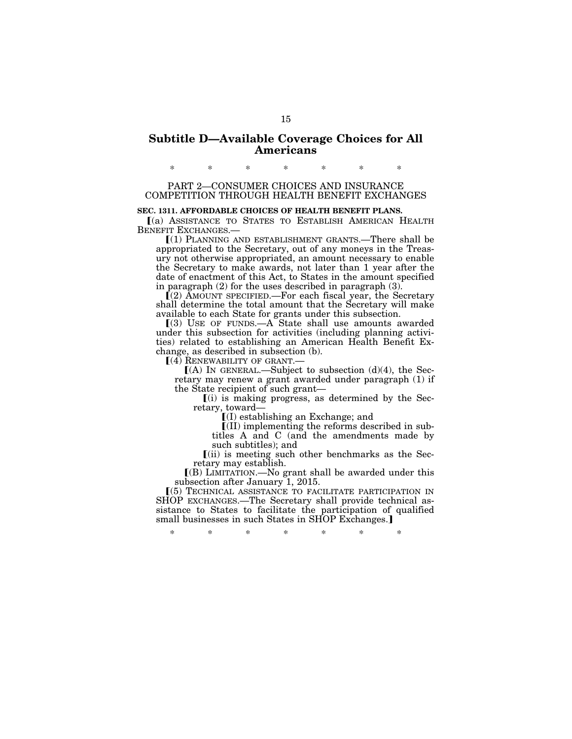# **Subtitle D—Available Coverage Choices for All Americans**

PART 2—CONSUMER CHOICES AND INSURANCE COMPETITION THROUGH HEALTH BENEFIT EXCHANGES

\* \* \* \* \* \* \*

# **SEC. 1311. AFFORDABLE CHOICES OF HEALTH BENEFIT PLANS.**

ø(a) ASSISTANCE TO STATES TO ESTABLISH AMERICAN HEALTH BENEFIT EXCHANGES.—

ø(1) PLANNING AND ESTABLISHMENT GRANTS.—There shall be appropriated to the Secretary, out of any moneys in the Treasury not otherwise appropriated, an amount necessary to enable the Secretary to make awards, not later than 1 year after the date of enactment of this Act, to States in the amount specified in paragraph (2) for the uses described in paragraph (3).

ø(2) AMOUNT SPECIFIED.—For each fiscal year, the Secretary shall determine the total amount that the Secretary will make available to each State for grants under this subsection.

 $(3)$  USE OF FUNDS.—A State shall use amounts awarded under this subsection for activities (including planning activities) related to establishing an American Health Benefit Exchange, as described in subsection (b).

 $(4)$  RENEWABILITY OF GRANT.

 $(A)$  In GENERAL.—Subject to subsection (d)(4), the Secretary may renew a grant awarded under paragraph (1) if the State recipient of such grant—

 $(i)$  is making progress, as determined by the Secretary, toward—

 $I(I)$  establishing an Exchange; and

 $\left[ \text{[II]} \right]$  implementing the reforms described in subtitles A and C (and the amendments made by such subtitles); and

 $(iii)$  is meeting such other benchmarks as the Secretary may establish.

 $($ B) LIMITATION.—No grant shall be awarded under this subsection after January 1, 2015.

ø(5) TECHNICAL ASSISTANCE TO FACILITATE PARTICIPATION IN SHOP EXCHANGES.—The Secretary shall provide technical assistance to States to facilitate the participation of qualified small businesses in such States in SHOP Exchanges.

\* \* \* \* \* \* \*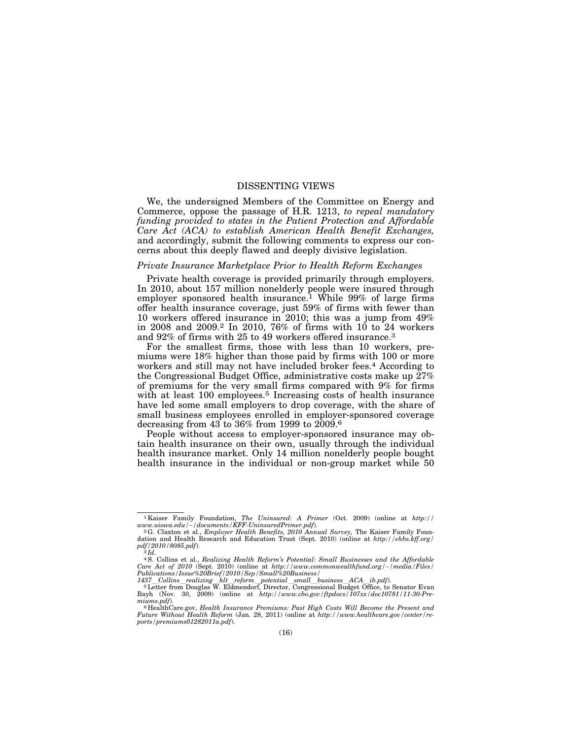# DISSENTING VIEWS

We, the undersigned Members of the Committee on Energy and Commerce, oppose the passage of H.R. 1213, *to repeal mandatory funding provided to states in the Patient Protection and Affordable Care Act (ACA) to establish American Health Benefit Exchanges,*  and accordingly, submit the following comments to express our concerns about this deeply flawed and deeply divisive legislation.

#### *Private Insurance Marketplace Prior to Health Reform Exchanges*

Private health coverage is provided primarily through employers. In 2010, about 157 million nonelderly people were insured through employer sponsored health insurance.<sup>1</sup> While  $99\%$  of large firms offer health insurance coverage, just 59% of firms with fewer than 10 workers offered insurance in 2010; this was a jump from 49% in 2008 and 2009.2 In 2010, 76% of firms with 10 to 24 workers and 92% of firms with 25 to 49 workers offered insurance.3

For the smallest firms, those with less than 10 workers, premiums were 18% higher than those paid by firms with 100 or more workers and still may not have included broker fees.<sup>4</sup> According to the Congressional Budget Office, administrative costs make up 27% of premiums for the very small firms compared with 9% for firms with at least 100 employees.<sup>5</sup> Increasing costs of health insurance have led some small employers to drop coverage, with the share of small business employees enrolled in employer-sponsored coverage decreasing from 43 to 36% from 1999 to 2009.6

People without access to employer-sponsored insurance may obtain health insurance on their own, usually through the individual health insurance market. Only 14 million nonelderly people bought health insurance in the individual or non-group market while 50

<sup>&</sup>lt;sup>1</sup>Kaiser Family Foundation, *The Uninsured: A Primer* (Oct. 2009) (online at *http://www.uiowa.edu/~/documents/KFF-UninsuredPrimer.pdf).* 

www.uiowa.edu/~/documents/KFF-UninsuredPrimer.pdf).<br><sup>2</sup>G. Claxton et al., *Employer Health Benefits, 2010 Annual Survey,* The Kaiser Family Foun-<br>dation and Health Research and Education Trust (Sept. 2010) (online at *http pdf/2010/8085.pdf*). 3 *Id.* 

<sup>4</sup>S. Collins et al., *Realizing Health Reform's Potential: Small Businesses and the Affordable Care Act of 2010* (Sept. 2010) (online at *http://www.commonwealthfund.org/*∼*/media/Files/ Publications/Issue%20Brief/2010/Sep/Small%20Business/* 

 $1437 \quad Collins\_realizing\_ht\_reform\_potential\_small\_business\_ACA\_ib.pdf.$ <br>  $5 \quad Letter from Douglas W. Eldemendorf, Director, Congressional Budget Office, to Senator Evan Bayh (Nov. 30, 2009) (online at <a href="http://www.cbo.gov/ftpdocs/107xx/doc10781/11-30-Pre-</a>$ *miums.pdf*). 6 HealthCare.gov, *Health Insurance Premiums: Past High Costs Will Become the Present and* 

*Future Without Health Reform* (Jan. 28, 2011) (online at *http://www.healthcare.gov/center/reports/premiums01282011a.pdf*).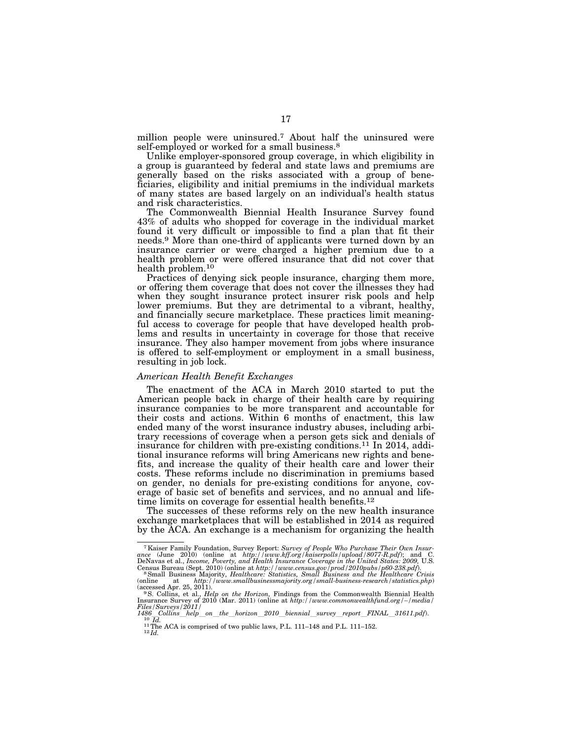million people were uninsured.7 About half the uninsured were self-employed or worked for a small business.<sup>8</sup>

Unlike employer-sponsored group coverage, in which eligibility in a group is guaranteed by federal and state laws and premiums are generally based on the risks associated with a group of beneficiaries, eligibility and initial premiums in the individual markets of many states are based largely on an individual's health status and risk characteristics.

The Commonwealth Biennial Health Insurance Survey found 43% of adults who shopped for coverage in the individual market found it very difficult or impossible to find a plan that fit their needs.9 More than one-third of applicants were turned down by an insurance carrier or were charged a higher premium due to a health problem or were offered insurance that did not cover that health problem.10

Practices of denying sick people insurance, charging them more, or offering them coverage that does not cover the illnesses they had when they sought insurance protect insurer risk pools and help lower premiums. But they are detrimental to a vibrant, healthy, and financially secure marketplace. These practices limit meaningful access to coverage for people that have developed health problems and results in uncertainty in coverage for those that receive insurance. They also hamper movement from jobs where insurance is offered to self-employment or employment in a small business, resulting in job lock.

#### *American Health Benefit Exchanges*

The enactment of the ACA in March 2010 started to put the American people back in charge of their health care by requiring insurance companies to be more transparent and accountable for their costs and actions. Within 6 months of enactment, this law ended many of the worst insurance industry abuses, including arbitrary recessions of coverage when a person gets sick and denials of insurance for children with pre-existing conditions.11 In 2014, additional insurance reforms will bring Americans new rights and benefits, and increase the quality of their health care and lower their costs. These reforms include no discrimination in premiums based on gender, no denials for pre-existing conditions for anyone, coverage of basic set of benefits and services, and no annual and lifetime limits on coverage for essential health benefits.<sup>12</sup>

The successes of these reforms rely on the new health insurance exchange marketplaces that will be established in 2014 as required by the ACA. An exchange is a mechanism for organizing the health

<sup>&</sup>lt;sup>7</sup> Kaiser Family Foundation, Survey Report: Survey of People Who Purchase Their Own Insurance (June 2010) (online at *http://www.kff.org/kaiserpolls/upload/8077-R.pdf*); and C. DeNavas et al., *Income, Poverty, and Healt* 

Census Bureau (Sept. 2010) (online at *http://www.census.gov/prod/2010pubs/p60-238.pdf*).<br><sup>8</sup> Small Business Majority, *Healthcare: Statistics, Small Business and the Healthcare Crisis<br>(online at <i>http://www.smallbusinessm* 

<sup>(</sup>accessed Apr. 25, 2011).<br><sup>9</sup> S. Collins, et al., *Help on the Horizon*, Findings from the Commonwealth Biennial Health<br>Insurance Survey of 2010 (Mar. 2011) (online at *http://www.commonwealthfund.org/~/media/ Files/Surveys/2011/* 

 $\frac{10}{10}$   $\frac{10}{Id}$ .<br>
<sup>11</sup> The ACA is comprised of two public laws, P.L. 111–148 and P.L. 111–152.<br>
<sup>12</sup>Id.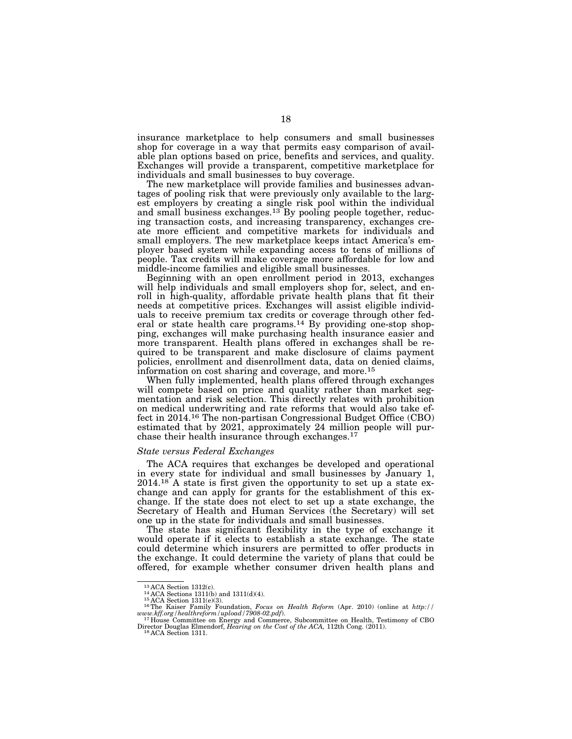insurance marketplace to help consumers and small businesses shop for coverage in a way that permits easy comparison of available plan options based on price, benefits and services, and quality. Exchanges will provide a transparent, competitive marketplace for individuals and small businesses to buy coverage.

The new marketplace will provide families and businesses advantages of pooling risk that were previously only available to the largest employers by creating a single risk pool within the individual and small business exchanges.13 By pooling people together, reducing transaction costs, and increasing transparency, exchanges create more efficient and competitive markets for individuals and small employers. The new marketplace keeps intact America's employer based system while expanding access to tens of millions of people. Tax credits will make coverage more affordable for low and middle-income families and eligible small businesses.

Beginning with an open enrollment period in 2013, exchanges will help individuals and small employers shop for, select, and enroll in high-quality, affordable private health plans that fit their needs at competitive prices. Exchanges will assist eligible individuals to receive premium tax credits or coverage through other federal or state health care programs.14 By providing one-stop shopping, exchanges will make purchasing health insurance easier and more transparent. Health plans offered in exchanges shall be required to be transparent and make disclosure of claims payment policies, enrollment and disenrollment data, data on denied claims, information on cost sharing and coverage, and more.15

When fully implemented, health plans offered through exchanges will compete based on price and quality rather than market segmentation and risk selection. This directly relates with prohibition on medical underwriting and rate reforms that would also take effect in 2014.16 The non-partisan Congressional Budget Office (CBO) estimated that by 2021, approximately 24 million people will purchase their health insurance through exchanges.17

## *State versus Federal Exchanges*

The ACA requires that exchanges be developed and operational in every state for individual and small businesses by January 1,  $2014<sup>18</sup>$  A state is first given the opportunity to set up a state exchange and can apply for grants for the establishment of this exchange. If the state does not elect to set up a state exchange, the Secretary of Health and Human Services (the Secretary) will set one up in the state for individuals and small businesses.

The state has significant flexibility in the type of exchange it would operate if it elects to establish a state exchange. The state could determine which insurers are permitted to offer products in the exchange. It could determine the variety of plans that could be offered, for example whether consumer driven health plans and

<sup>&</sup>lt;sup>13</sup> ACA Section 1312(c).<br><sup>14</sup> ACA Sections 1311(b) and 1311(d)(4).<br><sup>15</sup> ACA Section 1311(e)(3).<br><sup>16</sup> The Kaiser Family Foundation, *Focus on Health Reform* (Apr. 2010) (online at *http:*// *www.kff.org/healthreform/upload/7908-02.pdf*). 17 House Committee on Energy and Commerce, Subcommittee on Health, Testimony of CBO

Director Douglas Elmendorf, *Hearing on the Cost of the ACA,* 112th Cong. (2011). 18 ACA Section 1311.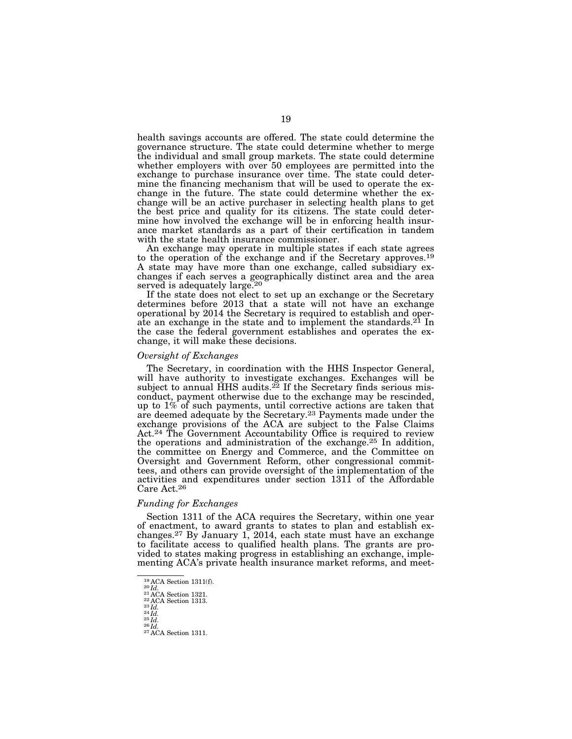health savings accounts are offered. The state could determine the governance structure. The state could determine whether to merge the individual and small group markets. The state could determine whether employers with over 50 employees are permitted into the exchange to purchase insurance over time. The state could determine the financing mechanism that will be used to operate the exchange in the future. The state could determine whether the exchange will be an active purchaser in selecting health plans to get the best price and quality for its citizens. The state could determine how involved the exchange will be in enforcing health insurance market standards as a part of their certification in tandem with the state health insurance commissioner.

An exchange may operate in multiple states if each state agrees to the operation of the exchange and if the Secretary approves.19 A state may have more than one exchange, called subsidiary exchanges if each serves a geographically distinct area and the area served is adequately large.<sup>20</sup>

If the state does not elect to set up an exchange or the Secretary determines before 2013 that a state will not have an exchange operational by 2014 the Secretary is required to establish and operate an exchange in the state and to implement the standards.<sup>21</sup> In the case the federal government establishes and operates the exchange, it will make these decisions.

#### *Oversight of Exchanges*

The Secretary, in coordination with the HHS Inspector General, will have authority to investigate exchanges. Exchanges will be subject to annual HHS audits.<sup>22</sup> If the Secretary finds serious misconduct, payment otherwise due to the exchange may be rescinded, up to 1% of such payments, until corrective actions are taken that are deemed adequate by the Secretary.<sup>23</sup> Payments made under the exchange provisions of the ACA are subject to the False Claims Act.<sup>24</sup> The Government Accountability Office is required to review the operations and administration of the exchange.25 In addition, the committee on Energy and Commerce, and the Committee on Oversight and Government Reform, other congressional committees, and others can provide oversight of the implementation of the activities and expenditures under section 1311 of the Affordable Care Act.26

#### *Funding for Exchanges*

Section 1311 of the ACA requires the Secretary, within one year of enactment, to award grants to states to plan and establish exchanges.<sup>27</sup> By January 1, 2014, each state must have an exchange to facilitate access to qualified health plans. The grants are provided to states making progress in establishing an exchange, implementing ACA's private health insurance market reforms, and meet-

<sup>&</sup>lt;sup>19</sup> ACA Section 1311(f).<br>
<sup>20</sup> *Id.*<br>
<sup>21</sup> ACA Section 1321.<br>
<sup>22</sup> ACA Section 1313.<br>
<sup>23</sup> *Id.*<br>
<sup>25</sup> *Id.*<br>
<sup>25</sup> *Id.*<br>
<sup>27</sup> ACA Section 1311.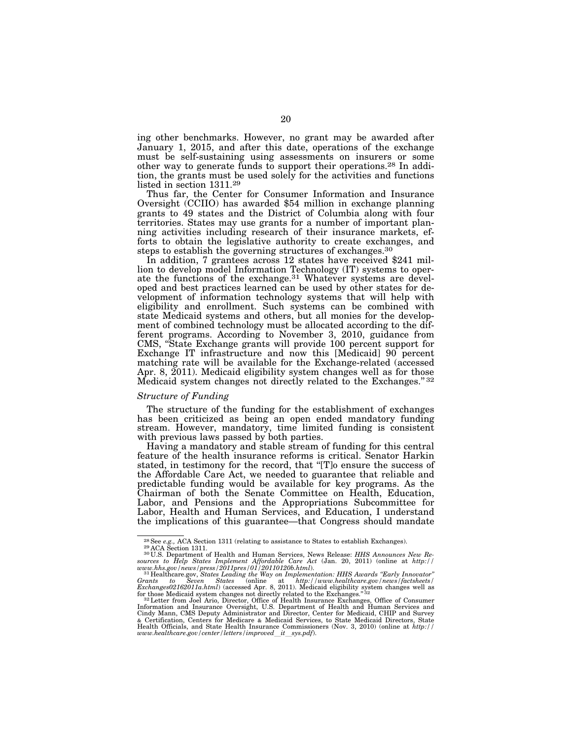ing other benchmarks. However, no grant may be awarded after January 1, 2015, and after this date, operations of the exchange must be self-sustaining using assessments on insurers or some other way to generate funds to support their operations.28 In addition, the grants must be used solely for the activities and functions listed in section 1311.29

Thus far, the Center for Consumer Information and Insurance Oversight (CCIIO) has awarded \$54 million in exchange planning grants to 49 states and the District of Columbia along with four territories. States may use grants for a number of important planning activities including research of their insurance markets, efforts to obtain the legislative authority to create exchanges, and steps to establish the governing structures of exchanges.30

In addition, 7 grantees across 12 states have received \$241 million to develop model Information Technology (IT) systems to operate the functions of the exchange.<sup>31</sup> Whatever systems are developed and best practices learned can be used by other states for development of information technology systems that will help with eligibility and enrollment. Such systems can be combined with state Medicaid systems and others, but all monies for the development of combined technology must be allocated according to the different programs. According to November 3, 2010, guidance from CMS, ''State Exchange grants will provide 100 percent support for Exchange IT infrastructure and now this [Medicaid] 90 percent matching rate will be available for the Exchange-related (accessed Apr. 8, 2011). Medicaid eligibility system changes well as for those Medicaid system changes not directly related to the Exchanges."<sup>32</sup>

# *Structure of Funding*

The structure of the funding for the establishment of exchanges has been criticized as being an open ended mandatory funding stream. However, mandatory, time limited funding is consistent with previous laws passed by both parties.

Having a mandatory and stable stream of funding for this central feature of the health insurance reforms is critical. Senator Harkin stated, in testimony for the record, that ''[T]o ensure the success of the Affordable Care Act, we needed to guarantee that reliable and predictable funding would be available for key programs. As the Chairman of both the Senate Committee on Health, Education, Labor, and Pensions and the Appropriations Subcommittee for Labor, Health and Human Services, and Education, I understand the implications of this guarantee—that Congress should mandate

<sup>&</sup>lt;sup>28</sup> See *e.g.*, ACA Section 1311 (relating to assistance to States to establish Exchanges).<br><sup>29</sup> ACA Section 1311 (relating to assistance to States to establish Exchanges).<br><sup>30</sup> ACA Section 1311 (relatin and Human Servic

Information and Insurance Oversight, U.S. Department of Health and Human Services and Cindy Mann, CMS Deputy Administrator and Director, Center for Medicaid, CHIP and Survey & Certification, Centers for Medicare & Medicaid Services, to State Medicaid Directors, State Health Officials, and State Health Insurance Commissioners (Nov. 3, 2010) (online at *http:// www.healthcare.gov/center/letters/improved*l*it*l*sys.pdf*).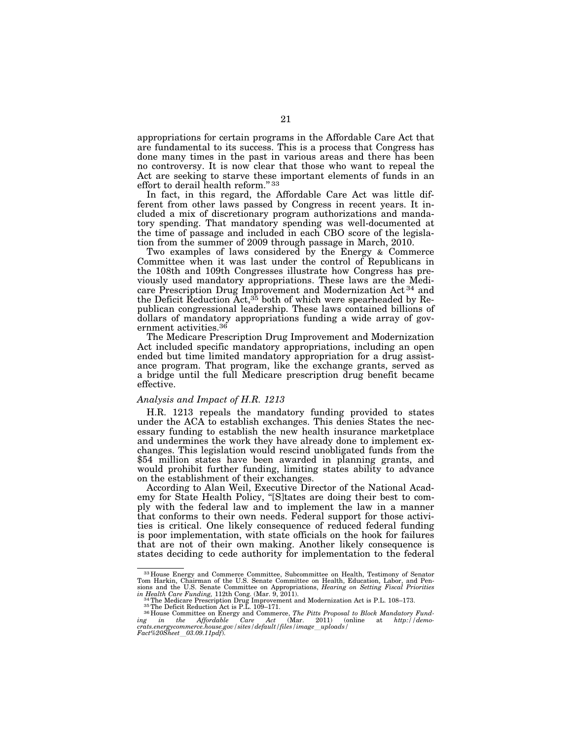appropriations for certain programs in the Affordable Care Act that are fundamental to its success. This is a process that Congress has done many times in the past in various areas and there has been no controversy. It is now clear that those who want to repeal the Act are seeking to starve these important elements of funds in an effort to derail health reform." 33

In fact, in this regard, the Affordable Care Act was little different from other laws passed by Congress in recent years. It included a mix of discretionary program authorizations and mandatory spending. That mandatory spending was well-documented at the time of passage and included in each CBO score of the legislation from the summer of 2009 through passage in March, 2010.

Two examples of laws considered by the Energy & Commerce Committee when it was last under the control of Republicans in the 108th and 109th Congresses illustrate how Congress has previously used mandatory appropriations. These laws are the Medicare Prescription Drug Improvement and Modernization Act 34 and the Deficit Reduction Act,<sup>35</sup> both of which were spearheaded by Republican congressional leadership. These laws contained billions of dollars of mandatory appropriations funding a wide array of government activities.<sup>36</sup>

The Medicare Prescription Drug Improvement and Modernization Act included specific mandatory appropriations, including an open ended but time limited mandatory appropriation for a drug assistance program. That program, like the exchange grants, served as a bridge until the full Medicare prescription drug benefit became effective.

## *Analysis and Impact of H.R. 1213*

H.R. 1213 repeals the mandatory funding provided to states under the ACA to establish exchanges. This denies States the necessary funding to establish the new health insurance marketplace and undermines the work they have already done to implement exchanges. This legislation would rescind unobligated funds from the \$54 million states have been awarded in planning grants, and would prohibit further funding, limiting states ability to advance on the establishment of their exchanges.

According to Alan Weil, Executive Director of the National Academy for State Health Policy, ''[S]tates are doing their best to comply with the federal law and to implement the law in a manner that conforms to their own needs. Federal support for those activities is critical. One likely consequence of reduced federal funding is poor implementation, with state officials on the hook for failures that are not of their own making. Another likely consequence is states deciding to cede authority for implementation to the federal

<sup>33</sup> House Energy and Commerce Committee, Subcommittee on Health, Testimony of Senator Tom Harkin, Chairman of the U.S. Senate Committee on Health, Education, Labor, and Pensions and the U.S. Senate Committee on Appropriations, *Hearing on Setting Fiscal Priorities*<br>in *Health Care Funding*, 112th Cong. (Mar. 9, 2011).<br><sup>34</sup>The Medicare Prescription Drug Improvement and Modernization Act is P.

in Health Care Funding, 112th Cong. (Mar. 9, 2011).<br>
<sup>34</sup>The Medicare Prescription Drug Improvement and Modernization Act is P.L. 108–173.<br>
<sup>35</sup>The Deficit Reduction Act is P.L. 109–171.<br>
<sup>35</sup>The Deficit Reduction Act is